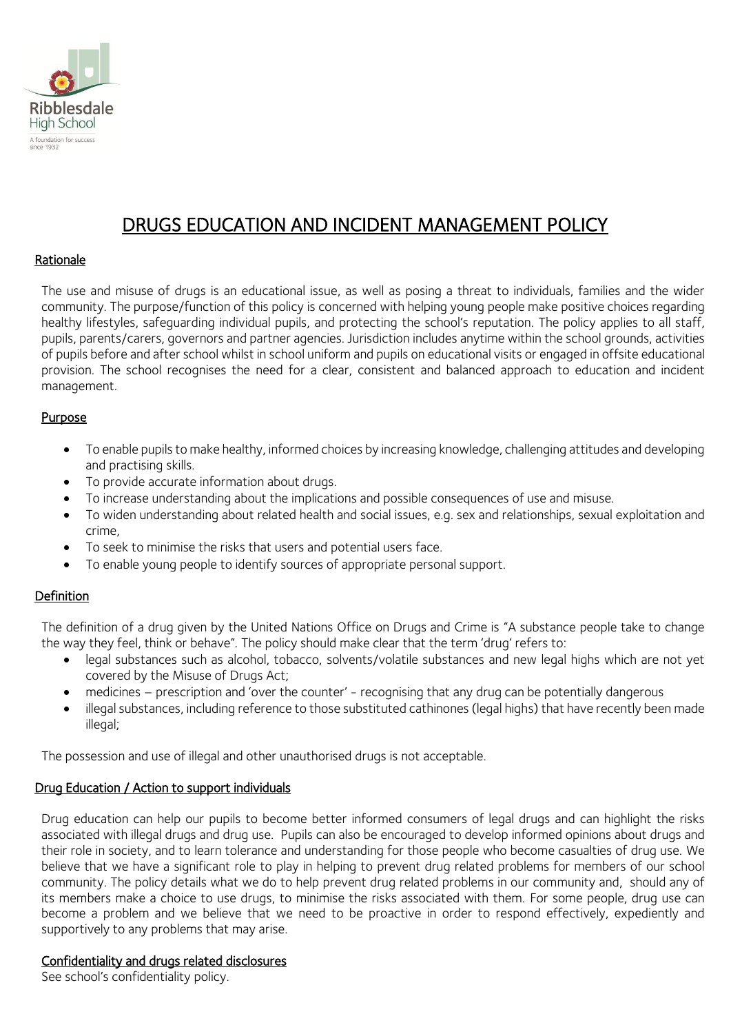

# DRUGS EDUCATION AND INCIDENT MANAGEMENT POLICY

# Rationale

The use and misuse of drugs is an educational issue, as well as posing a threat to individuals, families and the wider community. The purpose/function of this policy is concerned with helping young people make positive choices regarding healthy lifestyles, safeguarding individual pupils, and protecting the school's reputation. The policy applies to all staff, pupils, parents/carers, governors and partner agencies. Jurisdiction includes anytime within the school grounds, activities of pupils before and after school whilst in school uniform and pupils on educational visits or engaged in offsite educational provision. The school recognises the need for a clear, consistent and balanced approach to education and incident management.

# **Purpose**

- To enable pupils to make healthy, informed choices by increasing knowledge, challenging attitudes and developing and practising skills.
- To provide accurate information about drugs.
- To increase understanding about the implications and possible consequences of use and misuse.
- To widen understanding about related health and social issues, e.g. sex and relationships, sexual exploitation and crime,
- To seek to minimise the risks that users and potential users face.
- To enable young people to identify sources of appropriate personal support.

# **Definition**

The definition of a drug given by the United Nations Office on Drugs and Crime is "A substance people take to change the way they feel, think or behave". The policy should make clear that the term 'drug' refers to:

- legal substances such as alcohol, tobacco, solvents/volatile substances and new legal highs which are not yet covered by the Misuse of Drugs Act;
- medicines prescription and 'over the counter' recognising that any drug can be potentially dangerous
- illegal substances, including reference to those substituted cathinones (legal highs) that have recently been made illegal;

The possession and use of illegal and other unauthorised drugs is not acceptable.

#### Drug Education / Action to support individuals

Drug education can help our pupils to become better informed consumers of legal drugs and can highlight the risks associated with illegal drugs and drug use. Pupils can also be encouraged to develop informed opinions about drugs and their role in society, and to learn tolerance and understanding for those people who become casualties of drug use. We believe that we have a significant role to play in helping to prevent drug related problems for members of our school community. The policy details what we do to help prevent drug related problems in our community and, should any of its members make a choice to use drugs, to minimise the risks associated with them. For some people, drug use can become a problem and we believe that we need to be proactive in order to respond effectively, expediently and supportively to any problems that may arise.

#### Confidentiality and drugs related disclosures

See school's confidentiality policy.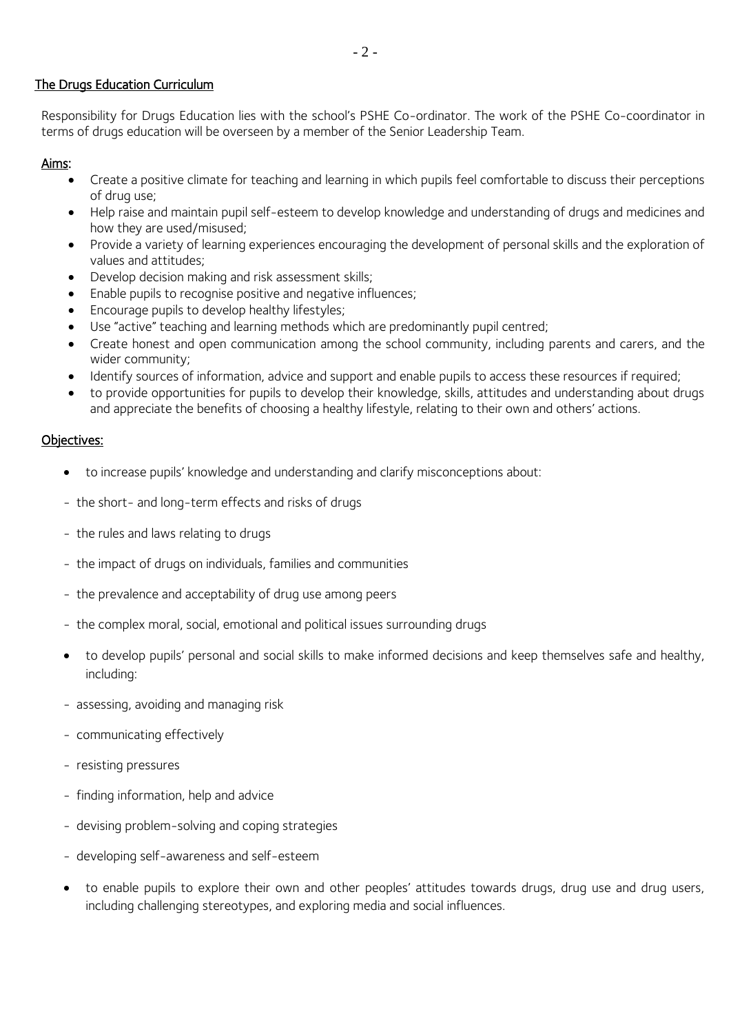# The Drugs Education Curriculum

Responsibility for Drugs Education lies with the school's PSHE Co-ordinator. The work of the PSHE Co-coordinator in terms of drugs education will be overseen by a member of the Senior Leadership Team.

# Aims:

- Create a positive climate for teaching and learning in which pupils feel comfortable to discuss their perceptions of drug use;
- Help raise and maintain pupil self-esteem to develop knowledge and understanding of drugs and medicines and how they are used/misused;
- Provide a variety of learning experiences encouraging the development of personal skills and the exploration of values and attitudes;
- Develop decision making and risk assessment skills;
- Enable pupils to recognise positive and negative influences;
- Encourage pupils to develop healthy lifestyles;
- Use "active" teaching and learning methods which are predominantly pupil centred;
- Create honest and open communication among the school community, including parents and carers, and the wider community;
- Identify sources of information, advice and support and enable pupils to access these resources if required;
- to provide opportunities for pupils to develop their knowledge, skills, attitudes and understanding about drugs and appreciate the benefits of choosing a healthy lifestyle, relating to their own and others' actions.

# Objectives:

- to increase pupils' knowledge and understanding and clarify misconceptions about:
- the short- and long-term effects and risks of drugs
- the rules and laws relating to drugs
- the impact of drugs on individuals, families and communities
- the prevalence and acceptability of drug use among peers
- the complex moral, social, emotional and political issues surrounding drugs
- to develop pupils' personal and social skills to make informed decisions and keep themselves safe and healthy, including:
- assessing, avoiding and managing risk
- communicating effectively
- resisting pressures
- finding information, help and advice
- devising problem-solving and coping strategies
- developing self-awareness and self-esteem
- to enable pupils to explore their own and other peoples' attitudes towards drugs, drug use and drug users, including challenging stereotypes, and exploring media and social influences.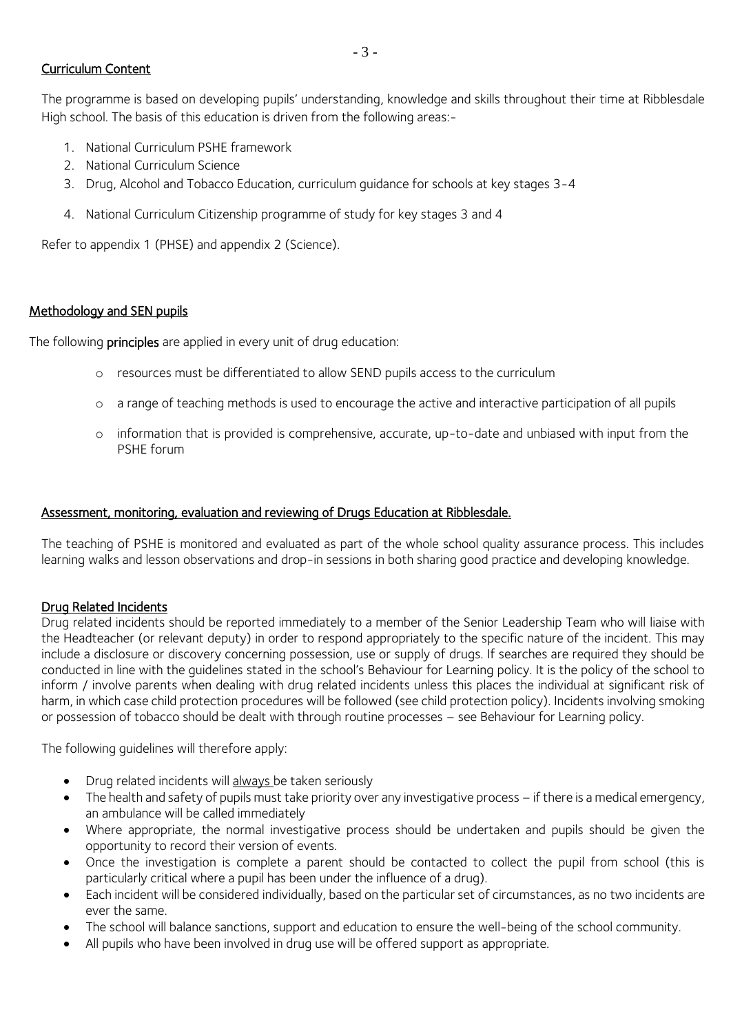# Curriculum Content

The programme is based on developing pupils' understanding, knowledge and skills throughout their time at Ribblesdale High school. The basis of this education is driven from the following areas:-

- 1. National Curriculum PSHE framework
- 2. National Curriculum Science
- 3. Drug, Alcohol and Tobacco Education, curriculum guidance for schools at key stages 3-4
- 4. National Curriculum Citizenship programme of study for key stages 3 and 4

Refer to appendix 1 (PHSE) and appendix 2 (Science).

#### Methodology and SEN pupils

The following **principles** are applied in every unit of drug education:

- o resources must be differentiated to allow SEND pupils access to the curriculum
- o a range of teaching methods is used to encourage the active and interactive participation of all pupils
- o information that is provided is comprehensive, accurate, up-to-date and unbiased with input from the PSHE forum

#### Assessment, monitoring, evaluation and reviewing of Drugs Education at Ribblesdale.

The teaching of PSHE is monitored and evaluated as part of the whole school quality assurance process. This includes learning walks and lesson observations and drop-in sessions in both sharing good practice and developing knowledge.

#### Drug Related Incidents

Drug related incidents should be reported immediately to a member of the Senior Leadership Team who will liaise with the Headteacher (or relevant deputy) in order to respond appropriately to the specific nature of the incident. This may include a disclosure or discovery concerning possession, use or supply of drugs. If searches are required they should be conducted in line with the guidelines stated in the school's Behaviour for Learning policy. It is the policy of the school to inform / involve parents when dealing with drug related incidents unless this places the individual at significant risk of harm, in which case child protection procedures will be followed (see child protection policy). Incidents involving smoking or possession of tobacco should be dealt with through routine processes – see Behaviour for Learning policy.

The following guidelines will therefore apply:

- Drug related incidents will always be taken seriously
- The health and safety of pupils must take priority over any investigative process if there is a medical emergency, an ambulance will be called immediately
- Where appropriate, the normal investigative process should be undertaken and pupils should be given the opportunity to record their version of events.
- Once the investigation is complete a parent should be contacted to collect the pupil from school (this is particularly critical where a pupil has been under the influence of a drug).
- Each incident will be considered individually, based on the particular set of circumstances, as no two incidents are ever the same.
- The school will balance sanctions, support and education to ensure the well-being of the school community.
- All pupils who have been involved in drug use will be offered support as appropriate.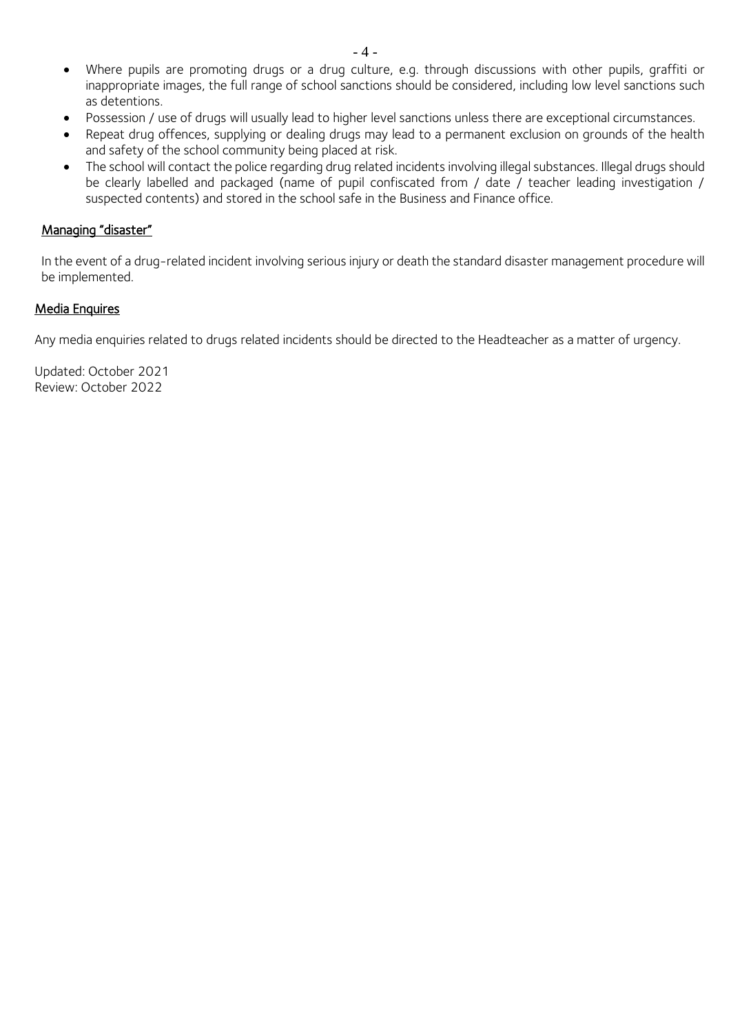- Where pupils are promoting drugs or a drug culture, e.g. through discussions with other pupils, graffiti or inappropriate images, the full range of school sanctions should be considered, including low level sanctions such as detentions.
- Possession / use of drugs will usually lead to higher level sanctions unless there are exceptional circumstances.
- Repeat drug offences, supplying or dealing drugs may lead to a permanent exclusion on grounds of the health and safety of the school community being placed at risk.
- The school will contact the police regarding drug related incidents involving illegal substances. Illegal drugs should be clearly labelled and packaged (name of pupil confiscated from / date / teacher leading investigation / suspected contents) and stored in the school safe in the Business and Finance office.

#### Managing "disaster"

In the event of a drug-related incident involving serious injury or death the standard disaster management procedure will be implemented.

# Media Enquires

Any media enquiries related to drugs related incidents should be directed to the Headteacher as a matter of urgency.

Updated: October 2021 Review: October 2022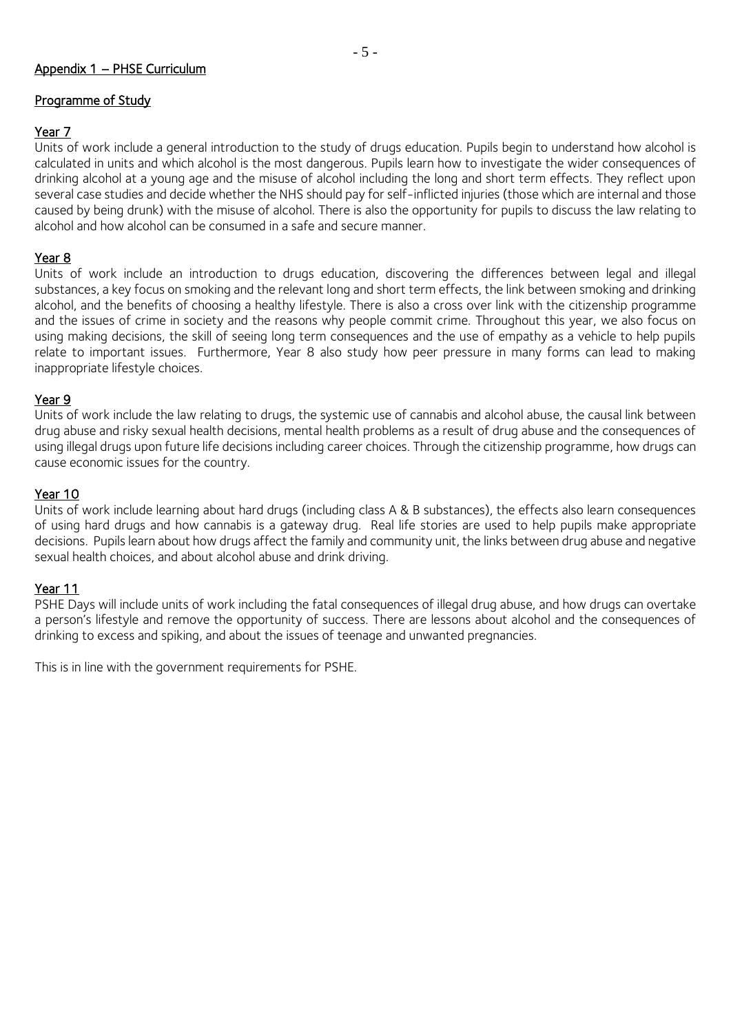# Appendix 1 – PHSE Curriculum

# Programme of Study

# Year 7

Units of work include a general introduction to the study of drugs education. Pupils begin to understand how alcohol is calculated in units and which alcohol is the most dangerous. Pupils learn how to investigate the wider consequences of drinking alcohol at a young age and the misuse of alcohol including the long and short term effects. They reflect upon several case studies and decide whether the NHS should pay for self-inflicted injuries (those which are internal and those caused by being drunk) with the misuse of alcohol. There is also the opportunity for pupils to discuss the law relating to alcohol and how alcohol can be consumed in a safe and secure manner.

- 5 -

# Year 8

Units of work include an introduction to drugs education, discovering the differences between legal and illegal substances, a key focus on smoking and the relevant long and short term effects, the link between smoking and drinking alcohol, and the benefits of choosing a healthy lifestyle. There is also a cross over link with the citizenship programme and the issues of crime in society and the reasons why people commit crime. Throughout this year, we also focus on using making decisions, the skill of seeing long term consequences and the use of empathy as a vehicle to help pupils relate to important issues. Furthermore, Year 8 also study how peer pressure in many forms can lead to making inappropriate lifestyle choices.

#### Year 9

Units of work include the law relating to drugs, the systemic use of cannabis and alcohol abuse, the causal link between drug abuse and risky sexual health decisions, mental health problems as a result of drug abuse and the consequences of using illegal drugs upon future life decisions including career choices. Through the citizenship programme, how drugs can cause economic issues for the country.

# Year 10

Units of work include learning about hard drugs (including class A & B substances), the effects also learn consequences of using hard drugs and how cannabis is a gateway drug. Real life stories are used to help pupils make appropriate decisions. Pupils learn about how drugs affect the family and community unit, the links between drug abuse and negative sexual health choices, and about alcohol abuse and drink driving.

#### Year 11

PSHE Days will include units of work including the fatal consequences of illegal drug abuse, and how drugs can overtake a person's lifestyle and remove the opportunity of success. There are lessons about alcohol and the consequences of drinking to excess and spiking, and about the issues of teenage and unwanted pregnancies.

This is in line with the government requirements for PSHE.